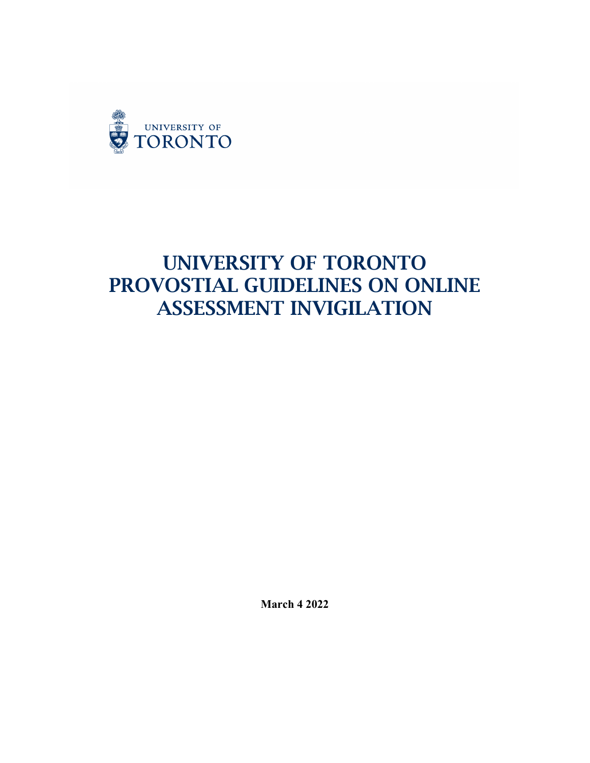

# UNIVERSITY OF TORONTO PROVOSTIAL GUIDELINES ON ONLINE ASSESSMENT INVIGILATION

**March 4 2022**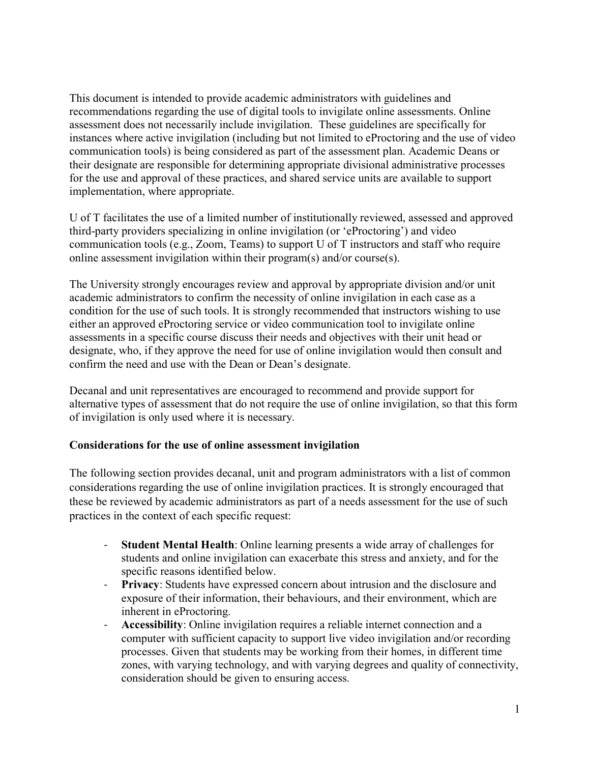This document is intended to provide academic administrators with guidelines and recommendations regarding the use of digital tools to invigilate online assessments. Online assessment does not necessarily include invigilation. These guidelines are specifically for instances where active invigilation (including but not limited to eProctoring and the use of video communication tools) is being considered as part of the assessment plan. Academic Deans or their designate are responsible for determining appropriate divisional administrative processes for the use and approval of these practices, and shared service units are available to support implementation, where appropriate.

U of T facilitates the use of a limited number of institutionally reviewed, assessed and approved third-party providers specializing in online invigilation (or 'eProctoring') and video communication tools (e.g., Zoom, Teams) to support U of T instructors and staff who require online assessment invigilation within their program(s) and/or course(s).

The University strongly encourages review and approval by appropriate division and/or unit academic administrators to confirm the necessity of online invigilation in each case as a condition for the use of such tools. It is strongly recommended that instructors wishing to use either an approved eProctoring service or video communication tool to invigilate online assessments in a specific course discuss their needs and objectives with their unit head or designate, who, if they approve the need for use of online invigilation would then consult and confirm the need and use with the Dean or Dean's designate.

Decanal and unit representatives are encouraged to recommend and provide support for alternative types of assessment that do not require the use of online invigilation, so that this form of invigilation is only used where it is necessary.

#### **Considerations for the use of online assessment invigilation**

The following section provides decanal, unit and program administrators with a list of common considerations regarding the use of online invigilation practices. It is strongly encouraged that these be reviewed by academic administrators as part of a needs assessment for the use of such practices in the context of each specific request:

- **Student Mental Health**: Online learning presents a wide array of challenges for students and online invigilation can exacerbate this stress and anxiety, and for the specific reasons identified below.
- **Privacy**: Students have expressed concern about intrusion and the disclosure and exposure of their information, their behaviours, and their environment, which are inherent in eProctoring.
- **Accessibility**: Online invigilation requires a reliable internet connection and a computer with sufficient capacity to support live video invigilation and/or recording processes. Given that students may be working from their homes, in different time zones, with varying technology, and with varying degrees and quality of connectivity, consideration should be given to ensuring access.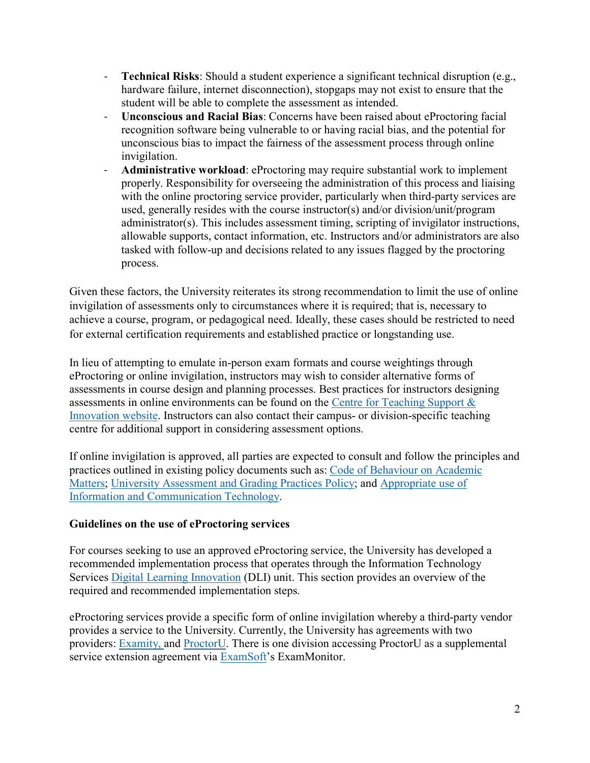- **Technical Risks**: Should a student experience a significant technical disruption (e.g., hardware failure, internet disconnection), stopgaps may not exist to ensure that the student will be able to complete the assessment as intended.
- **Unconscious and Racial Bias**: Concerns have been raised about eProctoring facial recognition software being vulnerable to or having racial bias, and the potential for unconscious bias to impact the fairness of the assessment process through online invigilation.
- **Administrative workload**: eProctoring may require substantial work to implement properly. Responsibility for overseeing the administration of this process and liaising with the online proctoring service provider, particularly when third-party services are used, generally resides with the course instructor(s) and/or division/unit/program administrator(s). This includes assessment timing, scripting of invigilator instructions, allowable supports, contact information, etc. Instructors and/or administrators are also tasked with follow-up and decisions related to any issues flagged by the proctoring process.

Given these factors, the University reiterates its strong recommendation to limit the use of online invigilation of assessments only to circumstances where it is required; that is, necessary to achieve a course, program, or pedagogical need. Ideally, these cases should be restricted to need for external certification requirements and established practice or longstanding use.

In lieu of attempting to emulate in-person exam formats and course weightings through eProctoring or online invigilation, instructors may wish to consider alternative forms of assessments in course design and planning processes. Best practices for instructors designing assessments in online environments can be found on the [Centre for Teaching Support &](https://teaching.utoronto.ca/teaching-support/strategies/continuity-planning/online-remotely-pnt/assessing-learning/)  [Innovation website.](https://teaching.utoronto.ca/teaching-support/strategies/continuity-planning/online-remotely-pnt/assessing-learning/) Instructors can also contact their campus- or division-specific teaching centre for additional support in considering assessment options.

If online invigilation is approved, all parties are expected to consult and follow the principles and practices outlined in existing policy documents such as: [Code of Behaviour on Academic](https://governingcouncil.utoronto.ca/secretariat/policies/code-behaviour-academic-matters-july-1-2019)  [Matters;](https://governingcouncil.utoronto.ca/secretariat/policies/code-behaviour-academic-matters-july-1-2019) [University Assessment and Grading Practices Policy;](https://governingcouncil.utoronto.ca/secretariat/policies/grading-practices-policy-university-assessment-and-january-1-2020) and [Appropriate use of](https://www.provost.utoronto.ca/planning-policy/information-communication-technology-appropriate-use/#section_3)  [Information and Communication Technology.](https://www.provost.utoronto.ca/planning-policy/information-communication-technology-appropriate-use/#section_3)

#### **Guidelines on the use of eProctoring services**

For courses seeking to use an approved eProctoring service, the University has developed a recommended implementation process that operates through the Information Technology Services [Digital Learning Innovation](https://onlinelearning.utoronto.ca/about-online-learning-strategies/) (DLI) unit. This section provides an overview of the required and recommended implementation steps.

eProctoring services provide a specific form of online invigilation whereby a third-party vendor provides a service to the University. Currently, the University has agreements with two providers: [Examity,](https://q.utoronto.ca/courses/46670/pages/examity) and [ProctorU.](https://q.utoronto.ca/courses/46670/pages/proctoru) There is one division accessing ProctorU as a supplemental service extension agreement via [ExamSoft'](https://q.utoronto.ca/courses/46670/pages/examsoft)s ExamMonitor.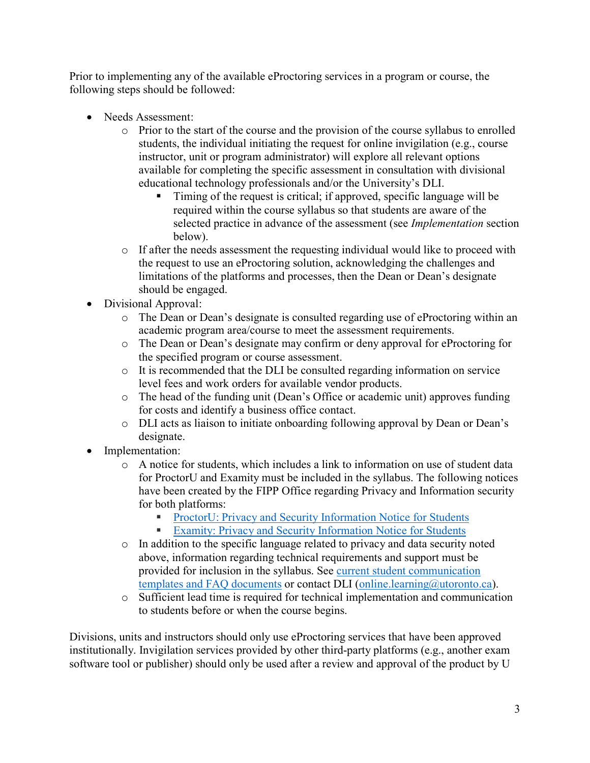Prior to implementing any of the available eProctoring services in a program or course, the following steps should be followed:

- Needs Assessment:
	- o Prior to the start of the course and the provision of the course syllabus to enrolled students, the individual initiating the request for online invigilation (e.g., course instructor, unit or program administrator) will explore all relevant options available for completing the specific assessment in consultation with divisional educational technology professionals and/or the University's DLI.
		- Timing of the request is critical; if approved, specific language will be required within the course syllabus so that students are aware of the selected practice in advance of the assessment (see *Implementation* section below).
	- $\circ$  If after the needs assessment the requesting individual would like to proceed with the request to use an eProctoring solution, acknowledging the challenges and limitations of the platforms and processes, then the Dean or Dean's designate should be engaged.
- Divisional Approval:
	- o The Dean or Dean's designate is consulted regarding use of eProctoring within an academic program area/course to meet the assessment requirements.
	- o The Dean or Dean's designate may confirm or deny approval for eProctoring for the specified program or course assessment.
	- $\circ$  It is recommended that the DLI be consulted regarding information on service level fees and work orders for available vendor products.
	- o The head of the funding unit (Dean's Office or academic unit) approves funding for costs and identify a business office contact.
	- o DLI acts as liaison to initiate onboarding following approval by Dean or Dean's designate.
- Implementation:
	- o A notice for students, which includes a link to information on use of student data for ProctorU and Examity must be included in the syllabus. The following notices have been created by the FIPP Office regarding Privacy and Information security for both platforms:
		- [ProctorU: Privacy and Security Information Notice for Students](https://teaching.utoronto.ca/ed-tech/online-learning/online-proctoring/proctoru-privacy/)
		- [Examity: Privacy and Security Information Notice for Students](https://teaching.utoronto.ca/ed-tech/online-learning/online-proctoring/examity-privacy-and-security/)
	- o In addition to the specific language related to privacy and data security noted above, information regarding technical requirements and support must be provided for inclusion in the syllabus. See [current student communication](https://utoronto.sharepoint.com/:f:/s/001T_ITSOLSProjects/EnW_GJDvn5BKmosFv1Qox6ABeozaQbJS71GuaIuP-KRnRA?e=AINWBP)  [templates and FAQ documents](https://utoronto.sharepoint.com/:f:/s/001T_ITSOLSProjects/EnW_GJDvn5BKmosFv1Qox6ABeozaQbJS71GuaIuP-KRnRA?e=AINWBP) or contact DLI [\(online.learning@utoronto.ca\)](mailto:online.learning@utoronto.ca).
	- o Sufficient lead time is required for technical implementation and communication to students before or when the course begins.

Divisions, units and instructors should only use eProctoring services that have been approved institutionally. Invigilation services provided by other third-party platforms (e.g., another exam software tool or publisher) should only be used after a review and approval of the product by U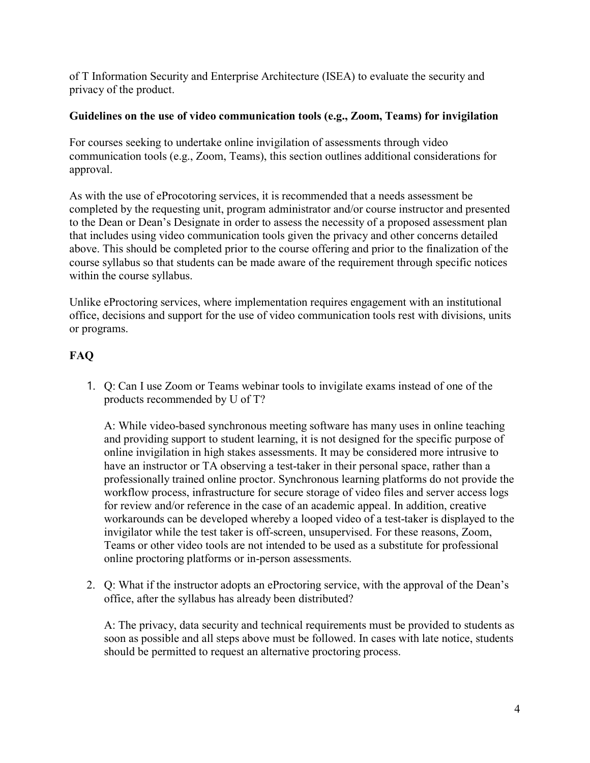of T Information Security and Enterprise Architecture (ISEA) to evaluate the security and privacy of the product.

#### **Guidelines on the use of video communication tools (e.g., Zoom, Teams) for invigilation**

For courses seeking to undertake online invigilation of assessments through video communication tools (e.g., Zoom, Teams), this section outlines additional considerations for approval.

As with the use of eProcotoring services, it is recommended that a needs assessment be completed by the requesting unit, program administrator and/or course instructor and presented to the Dean or Dean's Designate in order to assess the necessity of a proposed assessment plan that includes using video communication tools given the privacy and other concerns detailed above. This should be completed prior to the course offering and prior to the finalization of the course syllabus so that students can be made aware of the requirement through specific notices within the course syllabus.

Unlike eProctoring services, where implementation requires engagement with an institutional office, decisions and support for the use of video communication tools rest with divisions, units or programs.

## **FAQ**

1. Q: Can I use Zoom or Teams webinar tools to invigilate exams instead of one of the products recommended by U of T?

A: While video-based synchronous meeting software has many uses in online teaching and providing support to student learning, it is not designed for the specific purpose of online invigilation in high stakes assessments. It may be considered more intrusive to have an instructor or TA observing a test-taker in their personal space, rather than a professionally trained online proctor. Synchronous learning platforms do not provide the workflow process, infrastructure for secure storage of video files and server access logs for review and/or reference in the case of an academic appeal. In addition, creative workarounds can be developed whereby a looped video of a test-taker is displayed to the invigilator while the test taker is off-screen, unsupervised. For these reasons, Zoom, Teams or other video tools are not intended to be used as a substitute for professional online proctoring platforms or in-person assessments.

2. Q: What if the instructor adopts an eProctoring service, with the approval of the Dean's office, after the syllabus has already been distributed?

A: The privacy, data security and technical requirements must be provided to students as soon as possible and all steps above must be followed. In cases with late notice, students should be permitted to request an alternative proctoring process.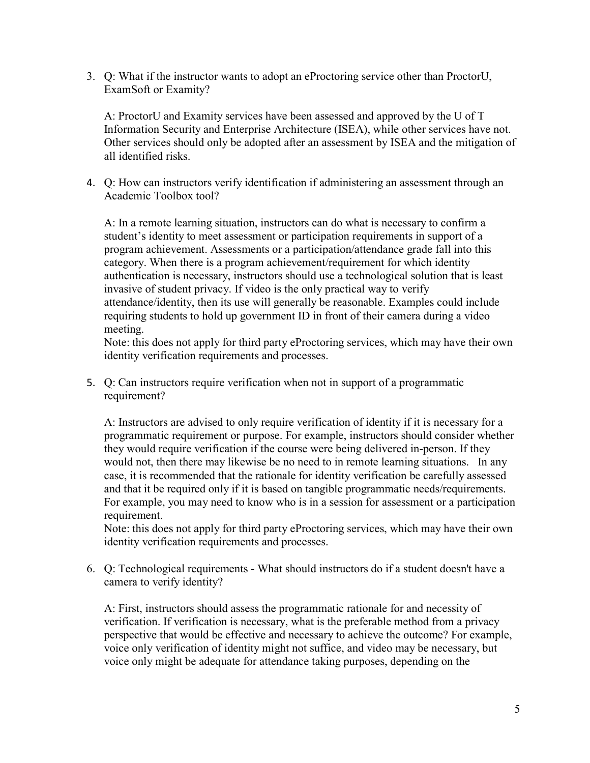3. Q: What if the instructor wants to adopt an eProctoring service other than ProctorU, ExamSoft or Examity?

A: ProctorU and Examity services have been assessed and approved by the U of T Information Security and Enterprise Architecture (ISEA), while other services have not. Other services should only be adopted after an assessment by ISEA and the mitigation of all identified risks.

4. Q: How can instructors verify identification if administering an assessment through an Academic Toolbox tool?

A: In a remote learning situation, instructors can do what is necessary to confirm a student's identity to meet assessment or participation requirements in support of a program achievement. Assessments or a participation/attendance grade fall into this category. When there is a program achievement/requirement for which identity authentication is necessary, instructors should use a technological solution that is least invasive of student privacy. If video is the only practical way to verify attendance/identity, then its use will generally be reasonable. Examples could include requiring students to hold up government ID in front of their camera during a video meeting.

Note: this does not apply for third party eProctoring services, which may have their own identity verification requirements and processes.

5. Q: Can instructors require verification when not in support of a programmatic requirement?

A: Instructors are advised to only require verification of identity if it is necessary for a programmatic requirement or purpose. For example, instructors should consider whether they would require verification if the course were being delivered in-person. If they would not, then there may likewise be no need to in remote learning situations. In any case, it is recommended that the rationale for identity verification be carefully assessed and that it be required only if it is based on tangible programmatic needs/requirements. For example, you may need to know who is in a session for assessment or a participation requirement.

Note: this does not apply for third party eProctoring services, which may have their own identity verification requirements and processes.

6. Q: Technological requirements - What should instructors do if a student doesn't have a camera to verify identity?

A: First, instructors should assess the programmatic rationale for and necessity of verification. If verification is necessary, what is the preferable method from a privacy perspective that would be effective and necessary to achieve the outcome? For example, voice only verification of identity might not suffice, and video may be necessary, but voice only might be adequate for attendance taking purposes, depending on the